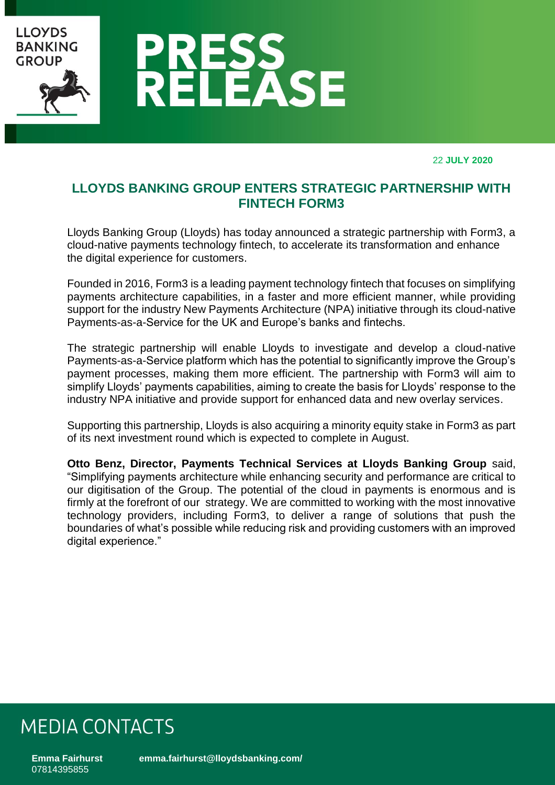

22 **JULY 2020**

### **LLOYDS BANKING GROUP ENTERS STRATEGIC PARTNERSHIP WITH FINTECH FORM3**

Lloyds Banking Group (Lloyds) has today announced a strategic partnership with Form3, a cloud-native payments technology fintech, to accelerate its transformation and enhance the digital experience for customers.

Founded in 2016, Form3 is a leading payment technology fintech that focuses on simplifying payments architecture capabilities, in a faster and more efficient manner, while providing support for the industry New Payments Architecture (NPA) initiative through its cloud-native Payments-as-a-Service for the UK and Europe's banks and fintechs.

The strategic partnership will enable Lloyds to investigate and develop a cloud-native Payments-as-a-Service platform which has the potential to significantly improve the Group's payment processes, making them more efficient. The partnership with Form3 will aim to simplify Lloyds' payments capabilities, aiming to create the basis for Lloyds' response to the industry NPA initiative and provide support for enhanced data and new overlay services.

Supporting this partnership, Lloyds is also acquiring a minority equity stake in Form3 as part of its next investment round which is expected to complete in August.

**Otto Benz, Director, Payments Technical Services at Lloyds Banking Group** said, "Simplifying payments architecture while enhancing security and performance are critical to our digitisation of the Group. The potential of the cloud in payments is enormous and is firmly at the forefront of our strategy. We are committed to working with the most innovative technology providers, including Form3, to deliver a range of solutions that push the boundaries of what's possible while reducing risk and providing customers with an improved digital experience."

### **MEDIA CONTACTS**

**Emma Fairhurst [emma.fairhurst@lloydsbanking.com/](mailto:emma.fairhurst@lloydsbanking.com/)** 07814395855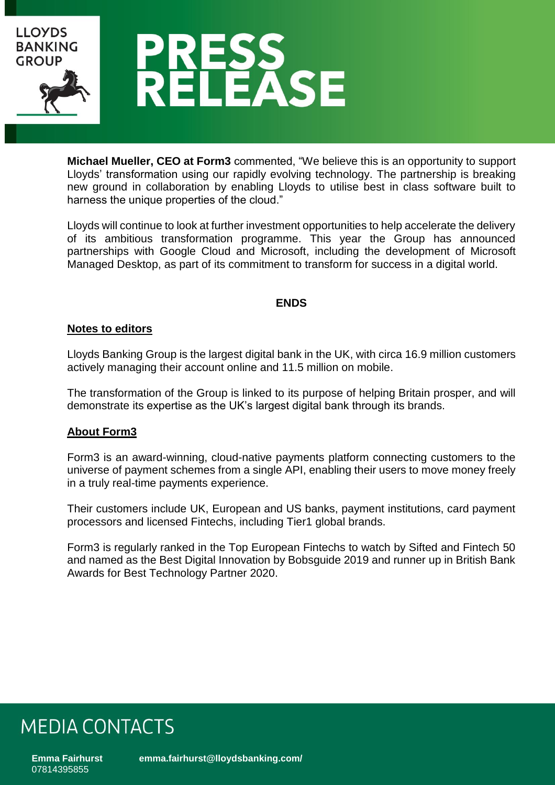

**Michael Mueller, CEO at Form3** commented, "We believe this is an opportunity to support Lloyds' transformation using our rapidly evolving technology. The partnership is breaking new ground in collaboration by enabling Lloyds to utilise best in class software built to harness the unique properties of the cloud."

Lloyds will continue to look at further investment opportunities to help accelerate the delivery of its ambitious transformation programme. This year the Group has announced partnerships with Google Cloud and Microsoft, including the development of Microsoft Managed Desktop, as part of its commitment to transform for success in a digital world.

#### **ENDS**

#### **Notes to editors**

Lloyds Banking Group is the largest digital bank in the UK, with circa 16.9 million customers actively managing their account online and 11.5 million on mobile.

The transformation of the Group is linked to its purpose of helping Britain prosper, and will demonstrate its expertise as the UK's largest digital bank through its brands.

#### **About Form3**

Form3 is an award-winning, cloud-native payments platform connecting customers to the universe of payment schemes from a single API, enabling their users to move money freely in a truly real-time payments experience.

Their customers include UK, European and US banks, payment institutions, card payment processors and licensed Fintechs, including Tier1 global brands.

Form3 is regularly ranked in the Top European Fintechs to watch by Sifted and Fintech 50 and named as the Best Digital Innovation by Bobsguide 2019 and runner up in British Bank Awards for Best Technology Partner 2020.

## **MEDIA CONTACTS**

**Emma Fairhurst [emma.fairhurst@lloydsbanking.com/](mailto:emma.fairhurst@lloydsbanking.com/)** 07814395855